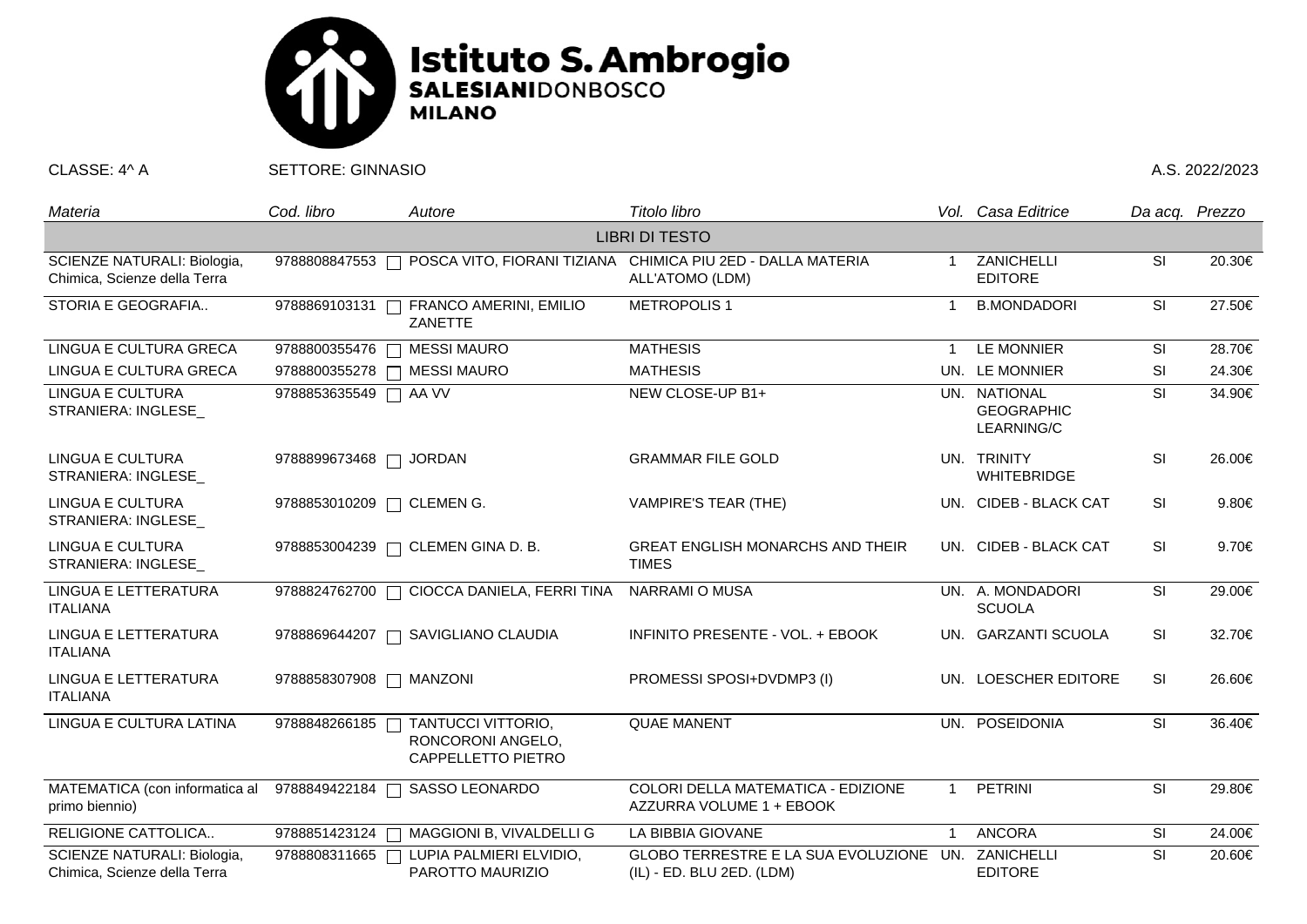

CLASSE: 4^ A SETTORE: GINNASIO A.S. 2022/2023

| Materia                                                     | Cod. libro                | Autore                                                        | Titolo libro                                                                                   |     | Vol. Casa Editrice                              | Da acq. Prezzo |        |  |  |  |  |
|-------------------------------------------------------------|---------------------------|---------------------------------------------------------------|------------------------------------------------------------------------------------------------|-----|-------------------------------------------------|----------------|--------|--|--|--|--|
| <b>LIBRI DI TESTO</b>                                       |                           |                                                               |                                                                                                |     |                                                 |                |        |  |  |  |  |
| SCIENZE NATURALI: Biologia,<br>Chimica, Scienze della Terra |                           |                                                               | 9788808847553 □ POSCA VITO, FIORANI TIZIANA CHIMICA PIU 2ED - DALLA MATERIA<br>ALL'ATOMO (LDM) |     | ZANICHELLI<br><b>EDITORE</b>                    | SI             | 20.30€ |  |  |  |  |
| STORIA E GEOGRAFIA                                          | 9788869103131             | FRANCO AMERINI, EMILIO<br>ZANETTE                             | <b>METROPOLIS1</b>                                                                             |     | <b>B.MONDADORI</b>                              | <b>SI</b>      | 27.50€ |  |  |  |  |
| LINGUA E CULTURA GRECA                                      | 9788800355476             | <b>MESSI MAURO</b><br>$\Box$                                  | <b>MATHESIS</b>                                                                                | -1  | LE MONNIER                                      | SI             | 28.70€ |  |  |  |  |
| LINGUA E CULTURA GRECA                                      |                           | 9788800355278   MESSI MAURO                                   | <b>MATHESIS</b>                                                                                |     | UN. LE MONNIER                                  | SI             | 24.30€ |  |  |  |  |
| LINGUA E CULTURA<br>STRANIERA: INGLESE                      | 9788853635549 □ AA VV     |                                                               | NEW CLOSE-UP B1+                                                                               |     | UN. NATIONAL<br><b>GEOGRAPHIC</b><br>LEARNING/C | SI             | 34.90€ |  |  |  |  |
| <b>LINGUA E CULTURA</b><br>STRANIERA: INGLESE               | 9788899673468   JORDAN    |                                                               | <b>GRAMMAR FILE GOLD</b>                                                                       |     | UN. TRINITY<br><b>WHITEBRIDGE</b>               | SI             | 26.00€ |  |  |  |  |
| <b>LINGUA E CULTURA</b><br>STRANIERA: INGLESE               | 9788853010209 □ CLEMEN G. |                                                               | <b>VAMPIRE'S TEAR (THE)</b>                                                                    |     | UN. CIDEB - BLACK CAT                           | <b>SI</b>      | 9.80€  |  |  |  |  |
| <b>LINGUA E CULTURA</b><br>STRANIERA: INGLESE               |                           | 9788853004239 □ CLEMEN GINA D. B.                             | <b>GREAT ENGLISH MONARCHS AND THEIR</b><br><b>TIMES</b>                                        |     | UN. CIDEB - BLACK CAT                           | <b>SI</b>      | 9.70€  |  |  |  |  |
| LINGUA E LETTERATURA<br><b>ITALIANA</b>                     |                           | 9788824762700 □ CIOCCA DANIELA, FERRI TINA                    | <b>NARRAMI O MUSA</b>                                                                          |     | UN. A. MONDADORI<br><b>SCUOLA</b>               | <b>SI</b>      | 29.00€ |  |  |  |  |
| LINGUA E LETTERATURA<br><b>ITALIANA</b>                     |                           | 9788869644207 □ SAVIGLIANO CLAUDIA                            | INFINITO PRESENTE - VOL. + EBOOK                                                               |     | UN. GARZANTI SCUOLA                             | <b>SI</b>      | 32.70€ |  |  |  |  |
| LINGUA E LETTERATURA<br><b>ITALIANA</b>                     | 9788858307908   MANZONI   |                                                               | PROMESSI SPOSI+DVDMP3 (I)                                                                      | UN. | <b>LOESCHER EDITORE</b>                         | <b>SI</b>      | 26.60€ |  |  |  |  |
| LINGUA E CULTURA LATINA                                     | 9788848266185             | TANTUCCI VITTORIO,<br>RONCORONI ANGELO,<br>CAPPELLETTO PIETRO | <b>QUAE MANENT</b>                                                                             |     | UN. POSEIDONIA                                  | <b>SI</b>      | 36.40€ |  |  |  |  |
| MATEMATICA (con informatica al<br>primo biennio)            | 9788849422184             | SASSO LEONARDO                                                | COLORI DELLA MATEMATICA - EDIZIONE<br>AZZURRA VOLUME 1 + EBOOK                                 |     | <b>PETRINI</b>                                  | SI             | 29.80€ |  |  |  |  |
| RELIGIONE CATTOLICA                                         | 9788851423124             | MAGGIONI B, VIVALDELLI G                                      | LA BIBBIA GIOVANE                                                                              | 1   | <b>ANCORA</b>                                   | SI             | 24.00€ |  |  |  |  |
| SCIENZE NATURALI: Biologia,<br>Chimica, Scienze della Terra | 9788808311665             | LUPIA PALMIERI ELVIDIO,<br>PAROTTO MAURIZIO                   | GLOBO TERRESTRE E LA SUA EVOLUZIONE UN. ZANICHELLI<br>(IL) - ED. BLU 2ED. (LDM)                |     | <b>EDITORE</b>                                  | SI             | 20.60€ |  |  |  |  |